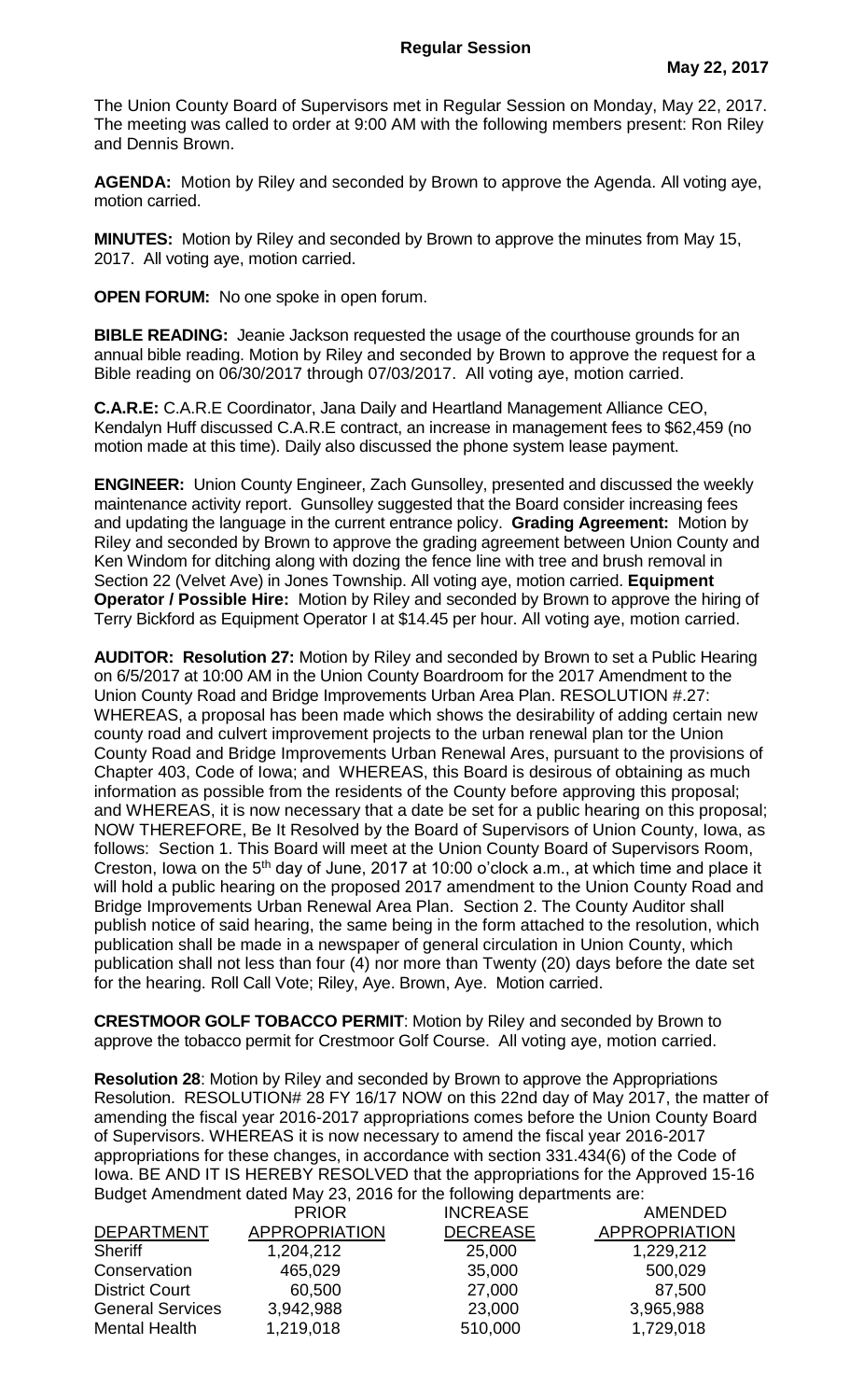The Union County Board of Supervisors met in Regular Session on Monday, May 22, 2017. The meeting was called to order at 9:00 AM with the following members present: Ron Riley and Dennis Brown.

**AGENDA:** Motion by Riley and seconded by Brown to approve the Agenda. All voting aye, motion carried.

**MINUTES:** Motion by Riley and seconded by Brown to approve the minutes from May 15, 2017. All voting aye, motion carried.

**OPEN FORUM:** No one spoke in open forum.

**BIBLE READING:** Jeanie Jackson requested the usage of the courthouse grounds for an annual bible reading. Motion by Riley and seconded by Brown to approve the request for a Bible reading on 06/30/2017 through 07/03/2017. All voting aye, motion carried.

**C.A.R.E:** C.A.R.E Coordinator, Jana Daily and Heartland Management Alliance CEO, Kendalyn Huff discussed C.A.R.E contract, an increase in management fees to \$62,459 (no motion made at this time). Daily also discussed the phone system lease payment.

**ENGINEER:** Union County Engineer, Zach Gunsolley, presented and discussed the weekly maintenance activity report. Gunsolley suggested that the Board consider increasing fees and updating the language in the current entrance policy. **Grading Agreement:** Motion by Riley and seconded by Brown to approve the grading agreement between Union County and Ken Windom for ditching along with dozing the fence line with tree and brush removal in Section 22 (Velvet Ave) in Jones Township. All voting aye, motion carried. **Equipment Operator / Possible Hire:** Motion by Riley and seconded by Brown to approve the hiring of Terry Bickford as Equipment Operator I at \$14.45 per hour. All voting aye, motion carried.

**AUDITOR: Resolution 27:** Motion by Riley and seconded by Brown to set a Public Hearing on 6/5/2017 at 10:00 AM in the Union County Boardroom for the 2017 Amendment to the Union County Road and Bridge Improvements Urban Area Plan. RESOLUTION #.27: WHEREAS, a proposal has been made which shows the desirability of adding certain new county road and culvert improvement projects to the urban renewal plan tor the Union County Road and Bridge Improvements Urban Renewal Ares, pursuant to the provisions of Chapter 403, Code of Iowa; and WHEREAS, this Board is desirous of obtaining as much information as possible from the residents of the County before approving this proposal; and WHEREAS, it is now necessary that a date be set for a public hearing on this proposal; NOW THEREFORE, Be It Resolved by the Board of Supervisors of Union County, Iowa, as follows: Section 1. This Board will meet at the Union County Board of Supervisors Room, Creston, lowa on the  $5<sup>th</sup>$  day of June, 2017 at 10:00 o'clock a.m., at which time and place it will hold a public hearing on the proposed 2017 amendment to the Union County Road and Bridge Improvements Urban Renewal Area Plan. Section 2. The County Auditor shall publish notice of said hearing, the same being in the form attached to the resolution, which publication shall be made in a newspaper of general circulation in Union County, which publication shall not less than four (4) nor more than Twenty (20) days before the date set for the hearing. Roll Call Vote; Riley, Aye. Brown, Aye. Motion carried.

**CRESTMOOR GOLF TOBACCO PERMIT**: Motion by Riley and seconded by Brown to approve the tobacco permit for Crestmoor Golf Course. All voting aye, motion carried.

**Resolution 28**: Motion by Riley and seconded by Brown to approve the Appropriations Resolution. RESOLUTION# 28 FY 16/17 NOW on this 22nd day of May 2017, the matter of amending the fiscal year 2016-2017 appropriations comes before the Union County Board of Supervisors. WHEREAS it is now necessary to amend the fiscal year 2016-2017 appropriations for these changes, in accordance with section 331.434(6) of the Code of Iowa. BE AND IT IS HEREBY RESOLVED that the appropriations for the Approved 15-16 Budget Amendment dated May 23, 2016 for the following departments are:

|                         | <b>PRIOR</b>         | <b>INCREASE</b> | AMENDED              |
|-------------------------|----------------------|-----------------|----------------------|
| <b>DEPARTMENT</b>       | <b>APPROPRIATION</b> | <b>DECREASE</b> | <b>APPROPRIATION</b> |
| <b>Sheriff</b>          | 1,204,212            | 25,000          | 1,229,212            |
| Conservation            | 465,029              | 35,000          | 500,029              |
| <b>District Court</b>   | 60,500               | 27,000          | 87,500               |
| <b>General Services</b> | 3,942,988            | 23,000          | 3,965,988            |
| <b>Mental Health</b>    | 1,219,018            | 510,000         | 1,729,018            |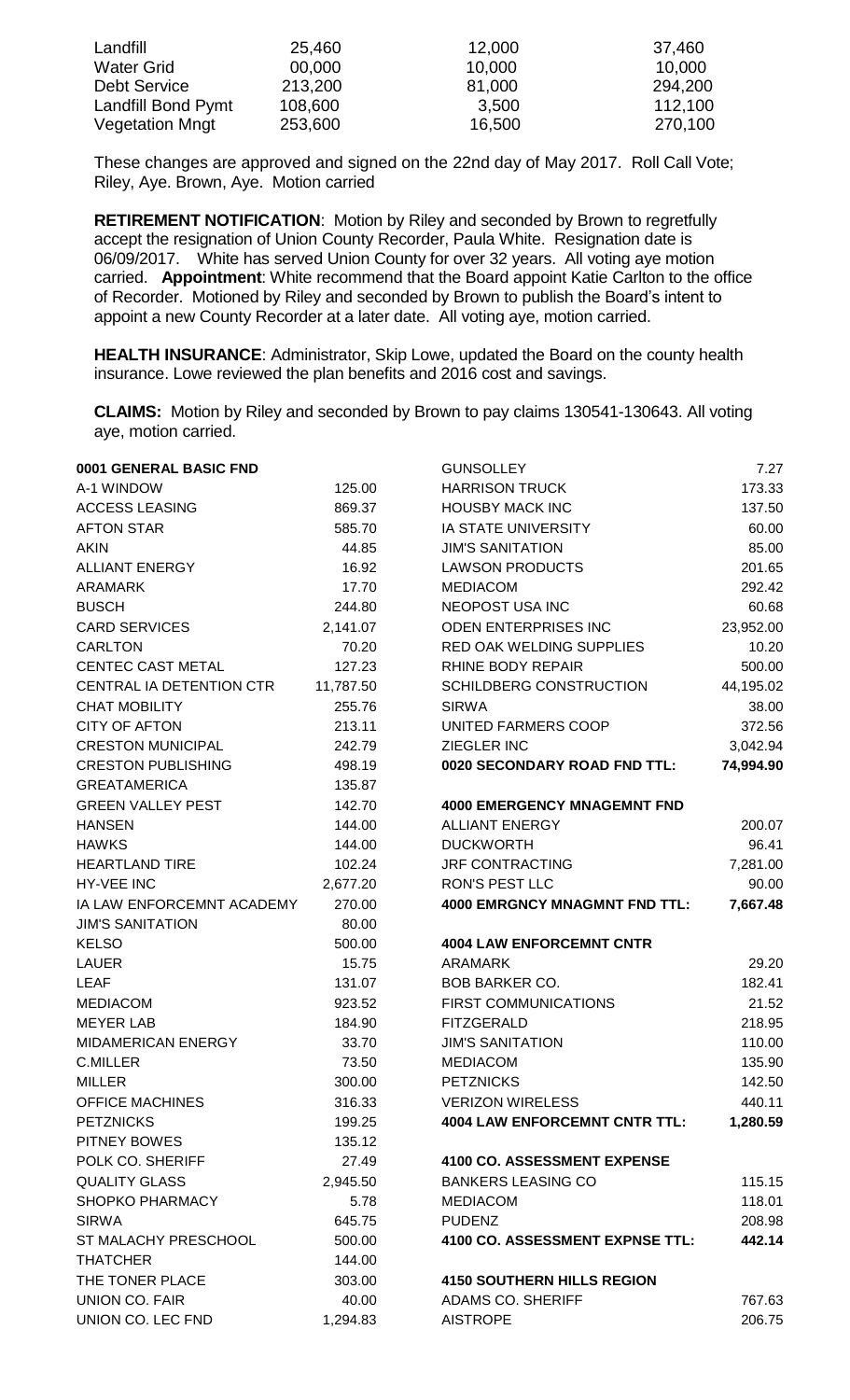| Landfill                  | 25,460  | 12,000 | 37,460  |
|---------------------------|---------|--------|---------|
| <b>Water Grid</b>         | 00,000  | 10,000 | 10,000  |
| Debt Service              | 213,200 | 81,000 | 294,200 |
| <b>Landfill Bond Pymt</b> | 108,600 | 3,500  | 112,100 |
| <b>Vegetation Mngt</b>    | 253,600 | 16,500 | 270,100 |

These changes are approved and signed on the 22nd day of May 2017. Roll Call Vote; Riley, Aye. Brown, Aye. Motion carried

**RETIREMENT NOTIFICATION**: Motion by Riley and seconded by Brown to regretfully accept the resignation of Union County Recorder, Paula White. Resignation date is 06/09/2017. White has served Union County for over 32 years. All voting aye motion carried. **Appointment**: White recommend that the Board appoint Katie Carlton to the office of Recorder. Motioned by Riley and seconded by Brown to publish the Board's intent to appoint a new County Recorder at a later date. All voting aye, motion carried.

**HEALTH INSURANCE**: Administrator, Skip Lowe, updated the Board on the county health insurance. Lowe reviewed the plan benefits and 2016 cost and savings.

**CLAIMS:** Motion by Riley and seconded by Brown to pay claims 130541-130643. All voting aye, motion carried.

| 0001 GENERAL BASIC FND           |                  | <b>GUNSOLLEY</b>                            | 7.27             |
|----------------------------------|------------------|---------------------------------------------|------------------|
| A-1 WINDOW                       | 125.00           | <b>HARRISON TRUCK</b>                       | 173.33           |
| <b>ACCESS LEASING</b>            | 869.37           | <b>HOUSBY MACK INC</b>                      | 137.50           |
| <b>AFTON STAR</b>                | 585.70           | IA STATE UNIVERSITY                         | 60.00            |
| <b>AKIN</b>                      | 44.85            | <b>JIM'S SANITATION</b>                     | 85.00            |
| <b>ALLIANT ENERGY</b>            | 16.92            | <b>LAWSON PRODUCTS</b>                      | 201.65           |
| ARAMARK                          | 17.70            | <b>MEDIACOM</b>                             | 292.42           |
| <b>BUSCH</b>                     | 244.80           | NEOPOST USA INC                             | 60.68            |
| <b>CARD SERVICES</b>             | 2,141.07         | <b>ODEN ENTERPRISES INC</b>                 | 23,952.00        |
| <b>CARLTON</b>                   | 70.20            | <b>RED OAK WELDING SUPPLIES</b>             | 10.20            |
| CENTEC CAST METAL                | 127.23           | <b>RHINE BODY REPAIR</b>                    | 500.00           |
| CENTRAL IA DETENTION CTR         | 11,787.50        | SCHILDBERG CONSTRUCTION                     | 44,195.02        |
| <b>CHAT MOBILITY</b>             | 255.76           | <b>SIRWA</b>                                | 38.00            |
| <b>CITY OF AFTON</b>             | 213.11           | UNITED FARMERS COOP                         | 372.56           |
| <b>CRESTON MUNICIPAL</b>         | 242.79           | ZIEGLER INC                                 | 3,042.94         |
| <b>CRESTON PUBLISHING</b>        | 498.19           | 0020 SECONDARY ROAD FND TTL:                | 74,994.90        |
| <b>GREATAMERICA</b>              | 135.87           |                                             |                  |
| <b>GREEN VALLEY PEST</b>         | 142.70           | <b>4000 EMERGENCY MNAGEMNT FND</b>          |                  |
| <b>HANSEN</b>                    | 144.00           | <b>ALLIANT ENERGY</b>                       | 200.07           |
| <b>HAWKS</b>                     | 144.00           | <b>DUCKWORTH</b>                            | 96.41            |
| <b>HEARTLAND TIRE</b>            | 102.24           | <b>JRF CONTRACTING</b>                      | 7,281.00         |
| <b>HY-VEE INC</b>                | 2,677.20         | <b>RON'S PEST LLC</b>                       | 90.00            |
| IA LAW ENFORCEMNT ACADEMY        | 270.00           | <b>4000 EMRGNCY MNAGMNT FND TTL:</b>        | 7,667.48         |
| <b>JIM'S SANITATION</b>          | 80.00            |                                             |                  |
| <b>KELSO</b>                     | 500.00           | <b>4004 LAW ENFORCEMNT CNTR</b>             |                  |
|                                  |                  | <b>ARAMARK</b>                              | 29.20            |
| <b>LAUER</b>                     | 15.75            |                                             |                  |
| <b>LEAF</b>                      | 131.07           | <b>BOB BARKER CO.</b>                       | 182.41           |
| <b>MEDIACOM</b>                  | 923.52           |                                             | 21.52            |
| <b>MEYER LAB</b>                 | 184.90           | FIRST COMMUNICATIONS<br><b>FITZGERALD</b>   |                  |
| MIDAMERICAN ENERGY               | 33.70            | <b>JIM'S SANITATION</b>                     | 218.95<br>110.00 |
| <b>C.MILLER</b>                  | 73.50            | <b>MEDIACOM</b>                             | 135.90           |
|                                  |                  |                                             |                  |
| MILLER<br><b>OFFICE MACHINES</b> | 300.00<br>316.33 | <b>PETZNICKS</b><br><b>VERIZON WIRELESS</b> | 142.50<br>440.11 |
| <b>PETZNICKS</b>                 | 199.25           | <b>4004 LAW ENFORCEMNT CNTR TTL:</b>        |                  |
| PITNEY BOWES                     | 135.12           |                                             | 1,280.59         |
| POLK CO. SHERIFF                 | 27.49            | 4100 CO. ASSESSMENT EXPENSE                 |                  |
| <b>QUALITY GLASS</b>             | 2,945.50         | <b>BANKERS LEASING CO</b>                   | 115.15           |
| <b>SHOPKO PHARMACY</b>           | 5.78             | <b>MEDIACOM</b>                             | 118.01           |
| <b>SIRWA</b>                     | 645.75           | <b>PUDENZ</b>                               | 208.98           |
| ST MALACHY PRESCHOOL             | 500.00           | 4100 CO. ASSESSMENT EXPNSE TTL:             | 442.14           |
| <b>THATCHER</b>                  | 144.00           |                                             |                  |
| THE TONER PLACE                  | 303.00           | <b>4150 SOUTHERN HILLS REGION</b>           |                  |
| <b>UNION CO. FAIR</b>            | 40.00            | <b>ADAMS CO. SHERIFF</b>                    |                  |
| UNION CO. LEC FND                | 1,294.83         | <b>AISTROPE</b>                             | 767.63<br>206.75 |